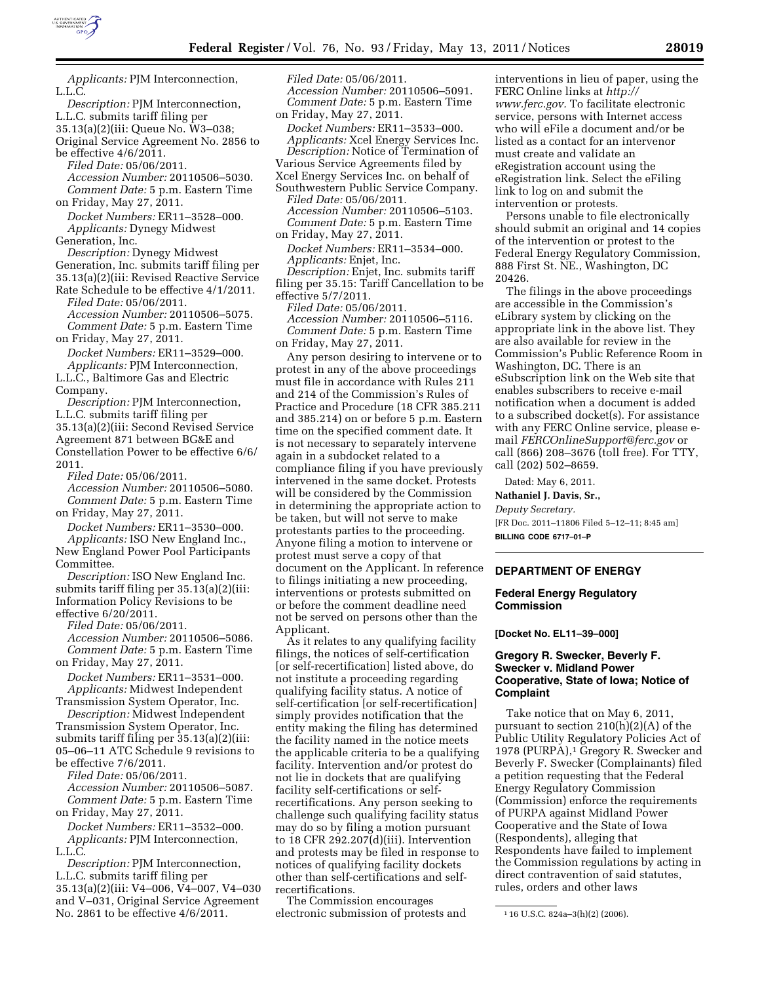

*Applicants:* PJM Interconnection, L.L.C.

*Description:* PJM Interconnection, L.L.C. submits tariff filing per 35.13(a)(2)(iii: Queue No. W3–038;

Original Service Agreement No. 2856 to be effective 4/6/2011.

*Filed Date:* 05/06/2011.

*Accession Number:* 20110506–5030. *Comment Date:* 5 p.m. Eastern Time on Friday, May 27, 2011.

*Docket Numbers:* ER11–3528–000. *Applicants:* Dynegy Midwest

Generation, Inc. *Description:* Dynegy Midwest Generation, Inc. submits tariff filing per 35.13(a)(2)(iii: Revised Reactive Service

Rate Schedule to be effective 4/1/2011. *Filed Date:* 05/06/2011. *Accession Number:* 20110506–5075. *Comment Date:* 5 p.m. Eastern Time

on Friday, May 27, 2011. *Docket Numbers:* ER11–3529–000.

*Applicants:* PJM Interconnection, L.L.C., Baltimore Gas and Electric Company.

*Description:* PJM Interconnection, L.L.C. submits tariff filing per 35.13(a)(2)(iii: Second Revised Service Agreement 871 between BG&E and Constellation Power to be effective 6/6/ 2011.

*Filed Date:* 05/06/2011.

*Accession Number:* 20110506–5080. *Comment Date:* 5 p.m. Eastern Time on Friday, May 27, 2011.

*Docket Numbers:* ER11–3530–000. *Applicants:* ISO New England Inc., New England Power Pool Participants Committee.

*Description:* ISO New England Inc. submits tariff filing per 35.13(a)(2)(iii: Information Policy Revisions to be effective 6/20/2011.

*Filed Date:* 05/06/2011.

*Accession Number:* 20110506–5086. *Comment Date:* 5 p.m. Eastern Time on Friday, May 27, 2011.

*Docket Numbers:* ER11–3531–000. *Applicants:* Midwest Independent

Transmission System Operator, Inc. *Description:* Midwest Independent Transmission System Operator, Inc. submits tariff filing per 35.13(a)(2)(iii:

05–06–11 ATC Schedule 9 revisions to be effective 7/6/2011. *Filed Date:* 05/06/2011.

*Accession Number:* 20110506–5087. *Comment Date:* 5 p.m. Eastern Time on Friday, May 27, 2011.

*Docket Numbers:* ER11–3532–000. *Applicants:* PJM Interconnection, L.L.C.

*Description:* PJM Interconnection, L.L.C. submits tariff filing per 35.13(a)(2)(iii: V4–006, V4–007, V4–030 and V–031, Original Service Agreement No. 2861 to be effective 4/6/2011.

*Filed Date:* 05/06/2011. *Accession Number:* 20110506–5091. *Comment Date:* 5 p.m. Eastern Time on Friday, May 27, 2011.

*Docket Numbers:* ER11–3533–000. *Applicants:* Xcel Energy Services Inc. *Description:* Notice of Termination of Various Service Agreements filed by Xcel Energy Services Inc. on behalf of Southwestern Public Service Company.

*Filed Date:* 05/06/2011. *Accession Number:* 20110506–5103. *Comment Date:* 5 p.m. Eastern Time on Friday, May 27, 2011.

*Docket Numbers:* ER11–3534–000. *Applicants:* Enjet, Inc.

*Description:* Enjet, Inc. submits tariff filing per 35.15: Tariff Cancellation to be effective 5/7/2011.

*Filed Date:* 05/06/2011.

*Accession Number:* 20110506–5116. *Comment Date:* 5 p.m. Eastern Time on Friday, May 27, 2011.

Any person desiring to intervene or to protest in any of the above proceedings must file in accordance with Rules 211 and 214 of the Commission's Rules of Practice and Procedure (18 CFR 385.211 and 385.214) on or before 5 p.m. Eastern time on the specified comment date. It is not necessary to separately intervene again in a subdocket related to a compliance filing if you have previously intervened in the same docket. Protests will be considered by the Commission in determining the appropriate action to be taken, but will not serve to make protestants parties to the proceeding. Anyone filing a motion to intervene or protest must serve a copy of that document on the Applicant. In reference to filings initiating a new proceeding, interventions or protests submitted on or before the comment deadline need not be served on persons other than the Applicant.

As it relates to any qualifying facility filings, the notices of self-certification [or self-recertification] listed above, do not institute a proceeding regarding qualifying facility status. A notice of self-certification [or self-recertification] simply provides notification that the entity making the filing has determined the facility named in the notice meets the applicable criteria to be a qualifying facility. Intervention and/or protest do not lie in dockets that are qualifying facility self-certifications or selfrecertifications. Any person seeking to challenge such qualifying facility status may do so by filing a motion pursuant to 18 CFR 292.207(d)(iii). Intervention and protests may be filed in response to notices of qualifying facility dockets other than self-certifications and selfrecertifications.

The Commission encourages electronic submission of protests and

interventions in lieu of paper, using the FERC Online links at *[http://](http://www.ferc.gov)  [www.ferc.gov.](http://www.ferc.gov)* To facilitate electronic service, persons with Internet access who will eFile a document and/or be listed as a contact for an intervenor must create and validate an eRegistration account using the eRegistration link. Select the eFiling link to log on and submit the intervention or protests.

Persons unable to file electronically should submit an original and 14 copies of the intervention or protest to the Federal Energy Regulatory Commission, 888 First St. NE., Washington, DC 20426.

The filings in the above proceedings are accessible in the Commission's eLibrary system by clicking on the appropriate link in the above list. They are also available for review in the Commission's Public Reference Room in Washington, DC. There is an eSubscription link on the Web site that enables subscribers to receive e-mail notification when a document is added to a subscribed docket(s). For assistance with any FERC Online service, please email *[FERCOnlineSupport@ferc.gov](mailto:FERCOnlineSupport@ferc.gov)* or call (866) 208–3676 (toll free). For TTY, call (202) 502–8659.

Dated: May 6, 2011.

**Nathaniel J. Davis, Sr.,** 

*Deputy Secretary.*  [FR Doc. 2011–11806 Filed 5–12–11; 8:45 am] **BILLING CODE 6717–01–P** 

## **DEPARTMENT OF ENERGY**

#### **Federal Energy Regulatory Commission**

**[Docket No. EL11–39–000]** 

## **Gregory R. Swecker, Beverly F. Swecker v. Midland Power Cooperative, State of Iowa; Notice of Complaint**

Take notice that on May 6, 2011, pursuant to section 210(h)(2)(A) of the Public Utility Regulatory Policies Act of 1978 (PURPA),<sup>1</sup> Gregory R. Swecker and Beverly F. Swecker (Complainants) filed a petition requesting that the Federal Energy Regulatory Commission (Commission) enforce the requirements of PURPA against Midland Power Cooperative and the State of Iowa (Respondents), alleging that Respondents have failed to implement the Commission regulations by acting in direct contravention of said statutes, rules, orders and other laws

<sup>1</sup> 16 U.S.C. 824a–3(h)(2) (2006).